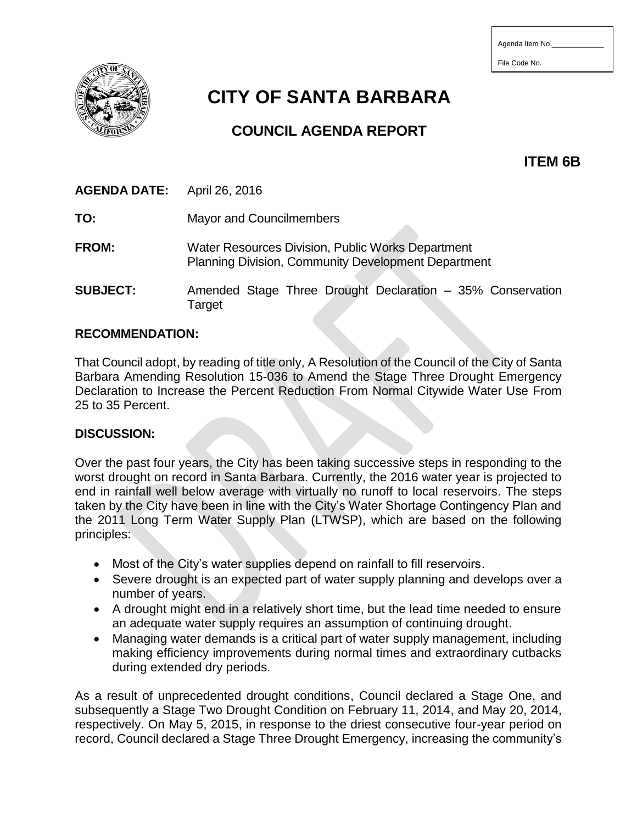| Agenda Item No. |  |  |
|-----------------|--|--|
|-----------------|--|--|

File Code No.



# **CITY OF SANTA BARBARA**

# **COUNCIL AGENDA REPORT**

**ITEM 6B**

**AGENDA DATE:** April 26, 2016

**TO:** Mayor and Councilmembers

**FROM:** Water Resources Division, Public Works Department Planning Division, Community Development Department

**SUBJECT:** Amended Stage Three Drought Declaration – 35% Conservation **Target** 

#### **RECOMMENDATION:**

That Council adopt, by reading of title only, A Resolution of the Council of the City of Santa Barbara Amending Resolution 15-036 to Amend the Stage Three Drought Emergency Declaration to Increase the Percent Reduction From Normal Citywide Water Use From 25 to 35 Percent.

#### **DISCUSSION:**

Over the past four years, the City has been taking successive steps in responding to the worst drought on record in Santa Barbara. Currently, the 2016 water year is projected to end in rainfall well below average with virtually no runoff to local reservoirs. The steps taken by the City have been in line with the City's Water Shortage Contingency Plan and the 2011 Long Term Water Supply Plan (LTWSP), which are based on the following principles:

- Most of the City's water supplies depend on rainfall to fill reservoirs.
- Severe drought is an expected part of water supply planning and develops over a number of years.
- A drought might end in a relatively short time, but the lead time needed to ensure an adequate water supply requires an assumption of continuing drought.
- Managing water demands is a critical part of water supply management, including making efficiency improvements during normal times and extraordinary cutbacks during extended dry periods.

As a result of unprecedented drought conditions, Council declared a Stage One, and subsequently a Stage Two Drought Condition on February 11, 2014, and May 20, 2014, respectively. On May 5, 2015, in response to the driest consecutive four-year period on record, Council declared a Stage Three Drought Emergency, increasing the community's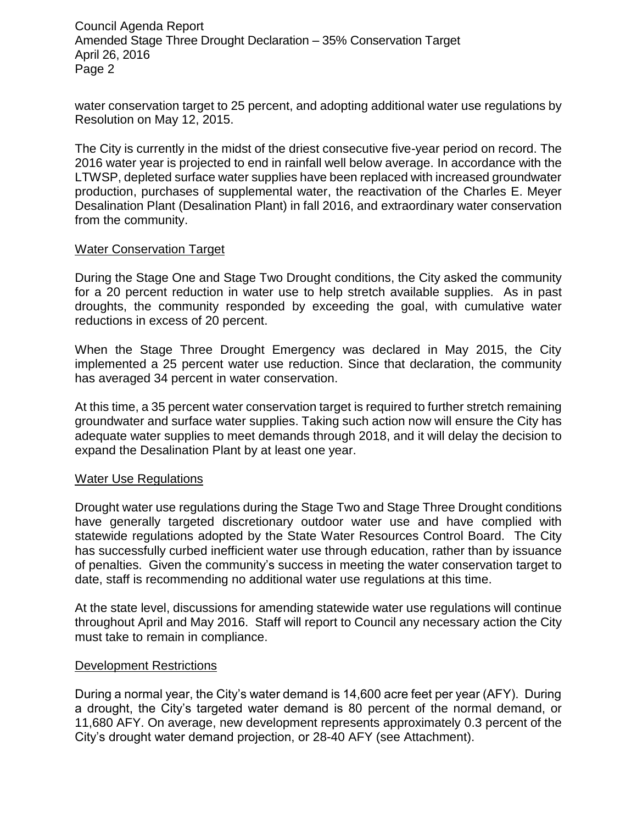Council Agenda Report Amended Stage Three Drought Declaration – 35% Conservation Target April 26, 2016 Page 2

water conservation target to 25 percent, and adopting additional water use regulations by Resolution on May 12, 2015.

The City is currently in the midst of the driest consecutive five-year period on record. The 2016 water year is projected to end in rainfall well below average. In accordance with the LTWSP, depleted surface water supplies have been replaced with increased groundwater production, purchases of supplemental water, the reactivation of the Charles E. Meyer Desalination Plant (Desalination Plant) in fall 2016, and extraordinary water conservation from the community.

#### Water Conservation Target

During the Stage One and Stage Two Drought conditions, the City asked the community for a 20 percent reduction in water use to help stretch available supplies. As in past droughts, the community responded by exceeding the goal, with cumulative water reductions in excess of 20 percent.

When the Stage Three Drought Emergency was declared in May 2015, the City implemented a 25 percent water use reduction. Since that declaration, the community has averaged 34 percent in water conservation.

At this time, a 35 percent water conservation target is required to further stretch remaining groundwater and surface water supplies. Taking such action now will ensure the City has adequate water supplies to meet demands through 2018, and it will delay the decision to expand the Desalination Plant by at least one year.

#### Water Use Regulations

Drought water use regulations during the Stage Two and Stage Three Drought conditions have generally targeted discretionary outdoor water use and have complied with statewide regulations adopted by the State Water Resources Control Board. The City has successfully curbed inefficient water use through education, rather than by issuance of penalties. Given the community's success in meeting the water conservation target to date, staff is recommending no additional water use regulations at this time.

At the state level, discussions for amending statewide water use regulations will continue throughout April and May 2016. Staff will report to Council any necessary action the City must take to remain in compliance.

## Development Restrictions

During a normal year, the City's water demand is 14,600 acre feet per year (AFY). During a drought, the City's targeted water demand is 80 percent of the normal demand, or 11,680 AFY. On average, new development represents approximately 0.3 percent of the City's drought water demand projection, or 28-40 AFY (see Attachment).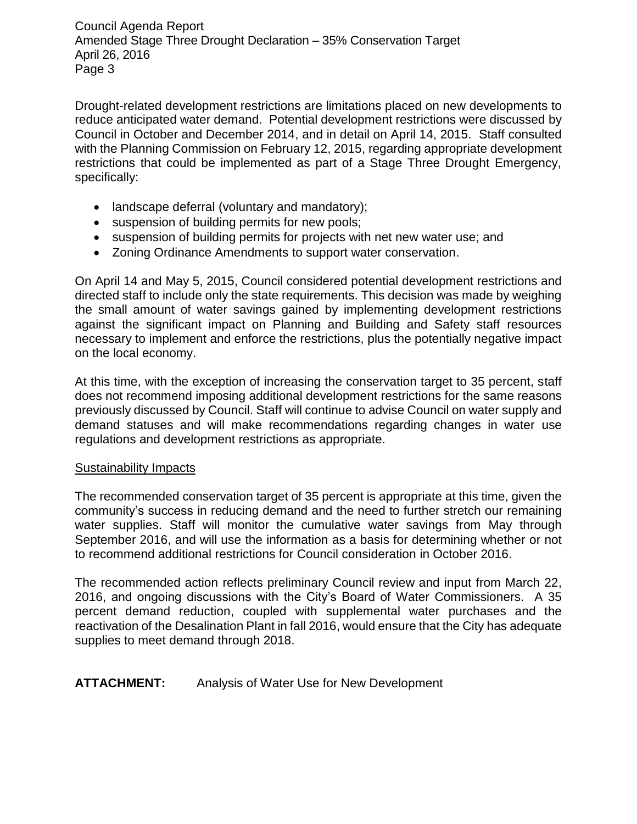Council Agenda Report Amended Stage Three Drought Declaration – 35% Conservation Target April 26, 2016 Page 3

Drought-related development restrictions are limitations placed on new developments to reduce anticipated water demand. Potential development restrictions were discussed by Council in October and December 2014, and in detail on April 14, 2015. Staff consulted with the Planning Commission on February 12, 2015, regarding appropriate development restrictions that could be implemented as part of a Stage Three Drought Emergency, specifically:

- landscape deferral (voluntary and mandatory);
- suspension of building permits for new pools;
- suspension of building permits for projects with net new water use; and
- Zoning Ordinance Amendments to support water conservation.

On April 14 and May 5, 2015, Council considered potential development restrictions and directed staff to include only the state requirements. This decision was made by weighing the small amount of water savings gained by implementing development restrictions against the significant impact on Planning and Building and Safety staff resources necessary to implement and enforce the restrictions, plus the potentially negative impact on the local economy.

At this time, with the exception of increasing the conservation target to 35 percent, staff does not recommend imposing additional development restrictions for the same reasons previously discussed by Council. Staff will continue to advise Council on water supply and demand statuses and will make recommendations regarding changes in water use regulations and development restrictions as appropriate.

## Sustainability Impacts

The recommended conservation target of 35 percent is appropriate at this time, given the community's success in reducing demand and the need to further stretch our remaining water supplies. Staff will monitor the cumulative water savings from May through September 2016, and will use the information as a basis for determining whether or not to recommend additional restrictions for Council consideration in October 2016.

The recommended action reflects preliminary Council review and input from March 22, 2016, and ongoing discussions with the City's Board of Water Commissioners. A 35 percent demand reduction, coupled with supplemental water purchases and the reactivation of the Desalination Plant in fall 2016, would ensure that the City has adequate supplies to meet demand through 2018.

**ATTACHMENT:** Analysis of Water Use for New Development